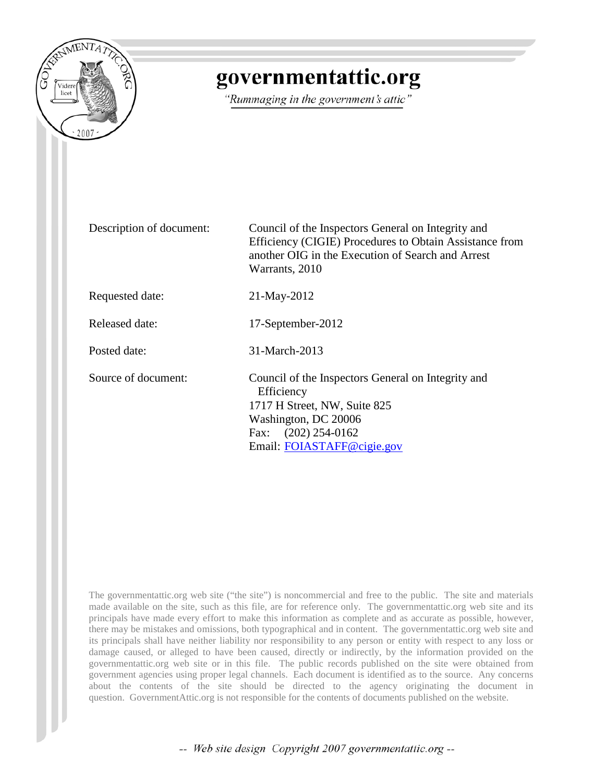

## governmentattic.org

"Rummaging in the government's attic"

Description of document: Council of the Inspectors General on Integrity and Efficiency (CIGIE) Procedures to Obtain Assistance from another OIG in the Execution of Search and Arrest Warrants, 2010

Requested date: 21-May-2012

Released date: 17-September-2012

Posted date: 31-March-2013

Source of document: Council of the Inspectors General on Integrity and **Efficiency** 1717 H Street, NW, Suite 825 Washington, DC 20006 Fax: (202) 254-0162 Email: [FOIASTAFF@cigie.gov](mailto:FOIASTAFF@cigie.gov)

The governmentattic.org web site ("the site") is noncommercial and free to the public. The site and materials made available on the site, such as this file, are for reference only. The governmentattic.org web site and its principals have made every effort to make this information as complete and as accurate as possible, however, there may be mistakes and omissions, both typographical and in content. The governmentattic.org web site and its principals shall have neither liability nor responsibility to any person or entity with respect to any loss or damage caused, or alleged to have been caused, directly or indirectly, by the information provided on the governmentattic.org web site or in this file. The public records published on the site were obtained from government agencies using proper legal channels. Each document is identified as to the source. Any concerns about the contents of the site should be directed to the agency originating the document in question. GovernmentAttic.org is not responsible for the contents of documents published on the website.

-- Web site design Copyright 2007 governmentattic.org --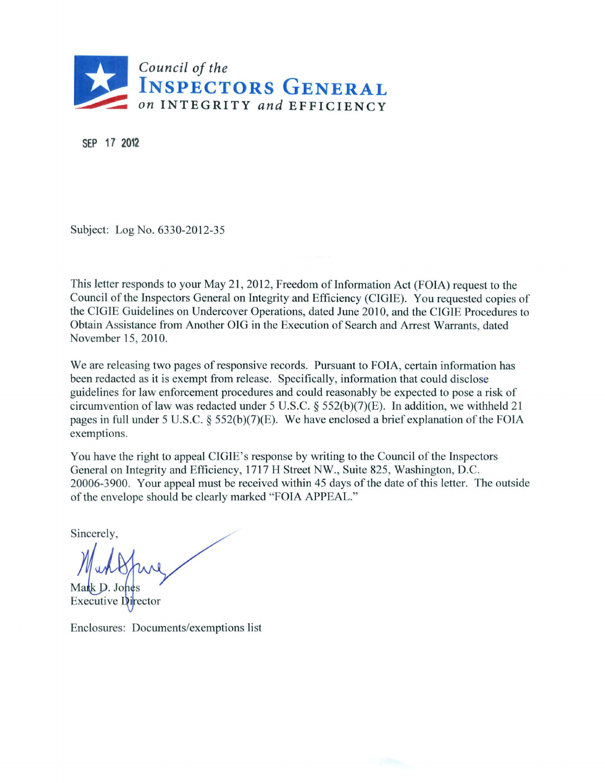

SEP 17 2012

Subject: Log No. 6330-2012-35

This letter responds to your May 21, 2012, Freedom of Information Act (FOIA) request to the Council of the Inspectors General on Integrity and Efficiency (CIGIE). You requested copies of the CIGIE Guidelines on Undercover Operations, dated June 2010, and the CIGIE Procedures to Obtain Assistance from Another OIG in the Execution of Search and Arrest Warrants, dated November 15, 2010.

We are releasing two pages of responsive records. Pursuant to FOIA, certain information has been redacted as it is exempt from release. Specifically, information that could disclose guidelines for law enforcement procedures and could reasonably be expected to pose a risk of circumvention of law was redacted under 5 U.S.C. § 552(b)(7)(E). In addition, we withheld 21 pages in full under 5 U.S.C.  $\S$  552(b)(7)(E). We have enclosed a brief explanation of the FOIA exemptions.

You have the right to appeal CIGIE's response by writing to the Council of the Inspectors General on Integrity and Efficiency, 1717 H Street NW., Suite 825, Washington, D.C. 20006-3900. Your appeal must be received within 45 days of the date of this letter. The outside of the envelope should be clearly marked "FOIA APPEAL."

Sincerely,

Mark D. Jones

**Executive Director** 

Enclosures: Documents/exemptions list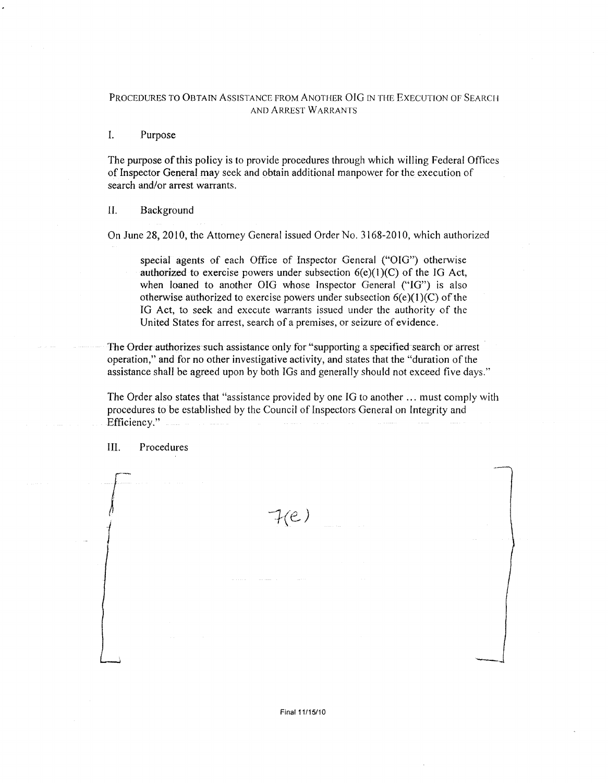## PROCEDURES TO OBTAIN ASSJSTANCE FROM ANOTHER OIG IN THE EXECUTION OF SEARCH AND ARREST WARRANTS

## I. Purpose

The purpose of this policy is to provide procedures through which willing Federal Offices of Inspector General may seek and obtain additional manpower for the execution of search and/or arrest warrants.

## II. Background

On June 28, 2010, the Attorney General issued Order No. 3168-2010, which authorized

special agents of each Office of Inspector General ("OIG") otherwise authorized to exercise powers under subsection  $6(e)(1)(C)$  of the IG Act, when loaned to another OIG whose Inspector General ("IG") is also otherwise authorized to exercise powers under subsection  $6(e)(1)(C)$  of the IG Act, to seek and execute warrants issued under the authority of the United States for arrest, search of a premises, or seizure of evidence.

The Drder authorizes such assistance only for "supporting a specified search or arrest operation," and for no other investigative activity, and states that the "duration of the assistance shall be agreed upon by both IGs and generally should not exceed five days."

The Order also states that "assistance provided by one IG to another ... must comply with procedures to be established by the Council of Inspectors General on Integrity and Efficiency."

Ill. Procedures